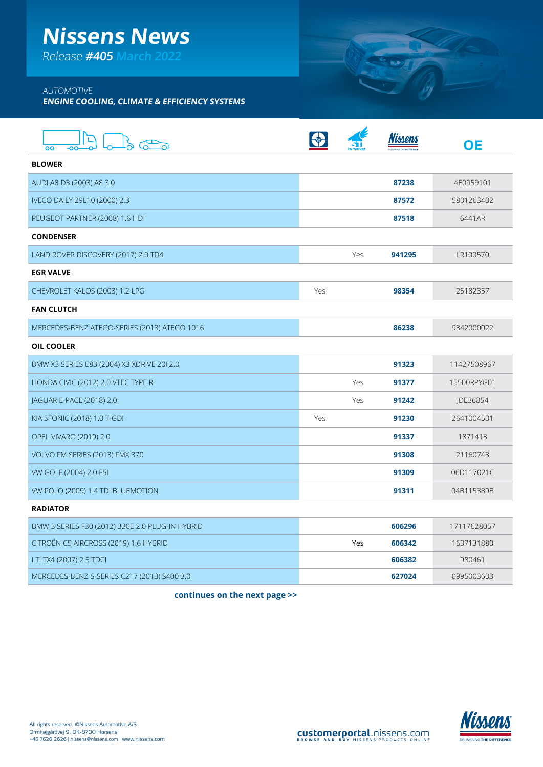# **Nissens News**

Release **#405 March 2022**

## AUTOMOTIVE

**ENGINE COOLING, CLIMATE & EFFICIENCY SYSTEMS**

| $R_{\text{max}}$<br>OO                          |     |     |        | <b>OE</b>   |
|-------------------------------------------------|-----|-----|--------|-------------|
| <b>BLOWER</b>                                   |     |     |        |             |
| AUDI A8 D3 (2003) A8 3.0                        |     |     | 87238  | 4E0959101   |
| IVECO DAILY 29L10 (2000) 2.3                    |     |     | 87572  | 5801263402  |
| PEUGEOT PARTNER (2008) 1.6 HDI                  |     |     | 87518  | 6441AR      |
| <b>CONDENSER</b>                                |     |     |        |             |
| LAND ROVER DISCOVERY (2017) 2.0 TD4             |     | Yes | 941295 | LR100570    |
| <b>EGR VALVE</b>                                |     |     |        |             |
| CHEVROLET KALOS (2003) 1.2 LPG                  | Yes |     | 98354  | 25182357    |
| <b>FAN CLUTCH</b>                               |     |     |        |             |
| MERCEDES-BENZ ATEGO-SERIES (2013) ATEGO 1016    |     |     | 86238  | 9342000022  |
| <b>OIL COOLER</b>                               |     |     |        |             |
| BMW X3 SERIES E83 (2004) X3 XDRIVE 201 2.0      |     |     | 91323  | 11427508967 |
| HONDA CIVIC (2012) 2.0 VTEC TYPE R              |     | Yes | 91377  | 15500RPYG01 |
| JAGUAR E-PACE (2018) 2.0                        |     | Yes | 91242  | JDE36854    |
| KIA STONIC (2018) 1.0 T-GDI                     | Yes |     | 91230  | 2641004501  |
| <b>OPEL VIVARO (2019) 2.0</b>                   |     |     | 91337  | 1871413     |
| VOLVO FM SERIES (2013) FMX 370                  |     |     | 91308  | 21160743    |
| VW GOLF (2004) 2.0 FSI                          |     |     | 91309  | 06D117021C  |
| VW POLO (2009) 1.4 TDI BLUEMOTION               |     |     | 91311  | 04B115389B  |
| <b>RADIATOR</b>                                 |     |     |        |             |
| BMW 3 SERIES F30 (2012) 330E 2.0 PLUG-IN HYBRID |     |     | 606296 | 17117628057 |
| CITROEN C5 AIRCROSS (2019) 1.6 HYBRID           |     | Yes | 606342 | 1637131880  |
| LTI TX4 (2007) 2.5 TDCI                         |     |     | 606382 | 980461      |
| MERCEDES-BENZ S-SERIES C217 (2013) S400 3.0     |     |     | 627024 | 0995003603  |

**continues on the next page >>**



SWITCH